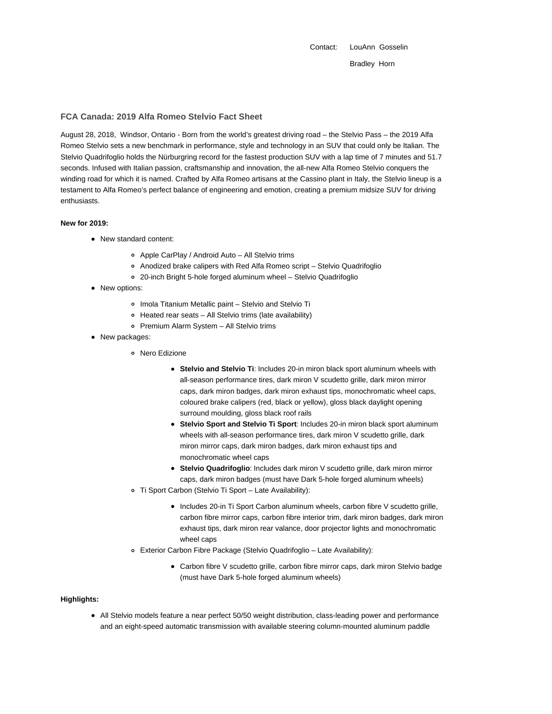Contact: LouAnn Gosselin Bradley Horn

## **FCA Canada: 2019 Alfa Romeo Stelvio Fact Sheet**

August 28, 2018, Windsor, Ontario - Born from the world's greatest driving road – the Stelvio Pass – the 2019 Alfa Romeo Stelvio sets a new benchmark in performance, style and technology in an SUV that could only be Italian. The Stelvio Quadrifoglio holds the Nürburgring record for the fastest production SUV with a lap time of 7 minutes and 51.7 seconds. Infused with Italian passion, craftsmanship and innovation, the all-new Alfa Romeo Stelvio conquers the winding road for which it is named. Crafted by Alfa Romeo artisans at the Cassino plant in Italy, the Stelvio lineup is a testament to Alfa Romeo's perfect balance of engineering and emotion, creating a premium midsize SUV for driving enthusiasts.

## **New for 2019:**

- New standard content:
	- Apple CarPlay / Android Auto All Stelvio trims
	- Anodized brake calipers with Red Alfa Romeo script Stelvio Quadrifoglio
	- 20-inch Bright 5-hole forged aluminum wheel Stelvio Quadrifoglio
- New options:
	- Imola Titanium Metallic paint Stelvio and Stelvio Ti
	- Heated rear seats All Stelvio trims (late availability)
	- Premium Alarm System All Stelvio trims
- New packages:
	- Nero Edizione
		- **Stelvio and Stelvio Ti**: Includes 20-in miron black sport aluminum wheels with all-season performance tires, dark miron V scudetto grille, dark miron mirror caps, dark miron badges, dark miron exhaust tips, monochromatic wheel caps, coloured brake calipers (red, black or yellow), gloss black daylight opening surround moulding, gloss black roof rails
		- **Stelvio Sport and Stelvio Ti Sport**: Includes 20-in miron black sport aluminum wheels with all-season performance tires, dark miron V scudetto grille, dark miron mirror caps, dark miron badges, dark miron exhaust tips and monochromatic wheel caps
		- **Stelvio Quadrifoglio**: Includes dark miron V scudetto grille, dark miron mirror caps, dark miron badges (must have Dark 5-hole forged aluminum wheels)
	- Ti Sport Carbon (Stelvio Ti Sport Late Availability):
		- Includes 20-in Ti Sport Carbon aluminum wheels, carbon fibre V scudetto grille, carbon fibre mirror caps, carbon fibre interior trim, dark miron badges, dark miron exhaust tips, dark miron rear valance, door projector lights and monochromatic wheel caps
	- Exterior Carbon Fibre Package (Stelvio Quadrifoglio Late Availability):
		- Carbon fibre V scudetto grille, carbon fibre mirror caps, dark miron Stelvio badge (must have Dark 5-hole forged aluminum wheels)

# **Highlights:**

All Stelvio models feature a near perfect 50/50 weight distribution, class-leading power and performance and an eight-speed automatic transmission with available steering column-mounted aluminum paddle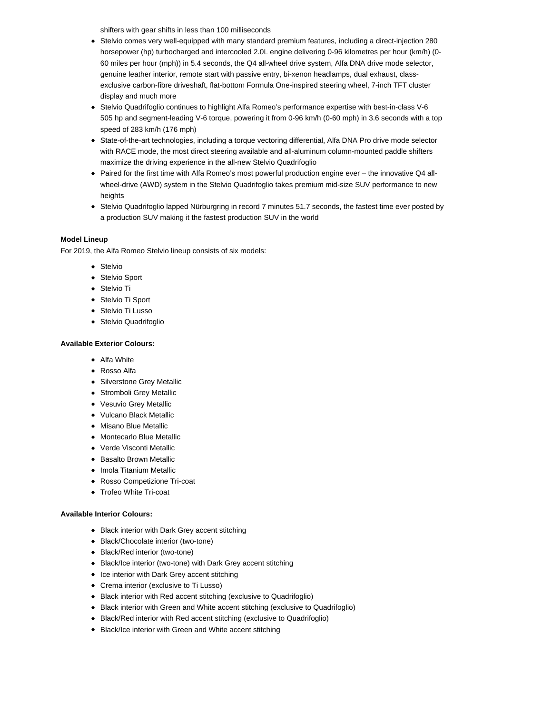shifters with gear shifts in less than 100 milliseconds

- Stelvio comes very well-equipped with many standard premium features, including a direct-injection 280 horsepower (hp) turbocharged and intercooled 2.0L engine delivering 0-96 kilometres per hour (km/h) (0- 60 miles per hour (mph)) in 5.4 seconds, the Q4 all-wheel drive system, Alfa DNA drive mode selector, genuine leather interior, remote start with passive entry, bi-xenon headlamps, dual exhaust, classexclusive carbon-fibre driveshaft, flat-bottom Formula One-inspired steering wheel, 7-inch TFT cluster display and much more
- Stelvio Quadrifoglio continues to highlight Alfa Romeo's performance expertise with best-in-class V-6 505 hp and segment-leading V-6 torque, powering it from 0-96 km/h (0-60 mph) in 3.6 seconds with a top speed of 283 km/h (176 mph)
- State-of-the-art technologies, including a torque vectoring differential, Alfa DNA Pro drive mode selector with RACE mode, the most direct steering available and all-aluminum column-mounted paddle shifters maximize the driving experience in the all-new Stelvio Quadrifoglio
- Paired for the first time with Alfa Romeo's most powerful production engine ever the innovative Q4 allwheel-drive (AWD) system in the Stelvio Quadrifoglio takes premium mid-size SUV performance to new heights
- Stelvio Quadrifoglio lapped Nürburgring in record 7 minutes 51.7 seconds, the fastest time ever posted by a production SUV making it the fastest production SUV in the world

## **Model Lineup**

For 2019, the Alfa Romeo Stelvio lineup consists of six models:

- Stelvio
- Stelvio Sport
- Stelvio Ti
- **Stelvio Ti Sport**
- Stelvio Ti Lusso
- Stelvio Quadrifoglio

## **Available Exterior Colours:**

- Alfa White
- Rosso Alfa
- Silverstone Grey Metallic
- Stromboli Grey Metallic
- Vesuvio Grey Metallic
- Vulcano Black Metallic
- Misano Blue Metallic
- Montecarlo Blue Metallic
- Verde Visconti Metallic
- Basalto Brown Metallic
- Imola Titanium Metallic
- Rosso Competizione Tri-coat
- Trofeo White Tri-coat

## **Available Interior Colours:**

- Black interior with Dark Grey accent stitching
- Black/Chocolate interior (two-tone)
- Black/Red interior (two-tone)
- Black/Ice interior (two-tone) with Dark Grey accent stitching
- Ice interior with Dark Grey accent stitching
- Crema interior (exclusive to Ti Lusso)
- Black interior with Red accent stitching (exclusive to Quadrifoglio)
- Black interior with Green and White accent stitching (exclusive to Quadrifoglio)
- Black/Red interior with Red accent stitching (exclusive to Quadrifoglio)
- Black/Ice interior with Green and White accent stitching